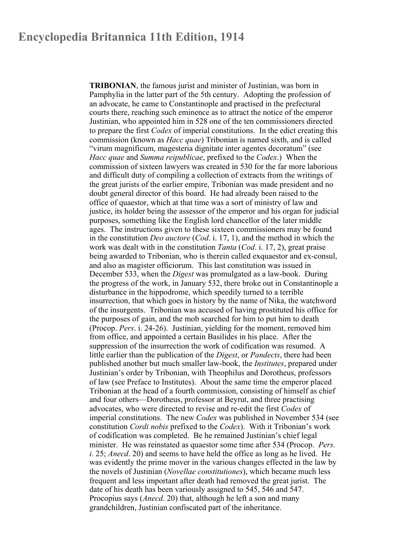## **Encyclopedia Britannica 11th Edition, 1914**

**TRIBONIAN**, the famous jurist and minister of Justinian, was born in Pamphylia in the latter part of the 5th century. Adopting the profession of an advocate, he came to Constantinople and practised in the prefectural courts there, reaching such eminence as to attract the notice of the emperor Justinian, who appointed him in 528 one of the ten commissioners directed to prepare the first *Codex* of imperial constitutions. In the edict creating this commission (known as *Hacc quae*) Tribonian is named sixth, and is called "virum magnificum, magesteria dignitate inter agentes decoratum" (see *Hacc quae* and *Summa reipublicae*, prefixed to the *Codex*.) When the commission of sixteen lawyers was created in 530 for the far more laborious and difficult duty of compiling a collection of extracts from the writings of the great jurists of the earlier empire, Tribonian was made president and no doubt general director of this board. He had already been raised to the office of quaestor, which at that time was a sort of ministry of law and justice, its holder being the assessor of the emperor and his organ for judicial purposes, something like the English lord chancellor of the later middle ages. The instructions given to these sixteen commissioners may be found in the constitution *Deo auctore* (*Cod*. i. 17, 1), and the method in which the work was dealt with in the constitution *Tanta* (*Cod*. i. 17, 2), great praise being awarded to Tribonian, who is therein called exquaestor and ex-consul, and also as magister officiorum. This last constitution was issued in December 533, when the *Digest* was promulgated as a law-book. During the progress of the work, in January 532, there broke out in Constantinople a disturbance in the hippodrome, which speedily turned to a terrible insurrection, that which goes in history by the name of Nika, the watchword of the insurgents. Tribonian was accused of having prostituted his office for the purposes of gain, and the mob searched for him to put him to death (Procop. *Pers*. i. 24-26). Justinian, yielding for the moment, removed him from office, and appointed a certain Basilides in his place. After the suppression of the insurrection the work of codification was resumed. A little earlier than the publication of the *Digest*, or *Pandects*, there had been published another but much smaller law-book, the *Institutes*, prepared under Justinian's order by Tribonian, with Theophilus and Dorotheus, professors of law (see Preface to Institutes). About the same time the emperor placed Tribonian at the head of a fourth commission, consisting of himself as chief and four others—Dorotheus, professor at Beyrut, and three practising advocates, who were directed to revise and re-edit the first *Codex* of imperial constitutions. The new *Codex* was published in November 534 (see constitution *Cordi nobis* prefixed to the *Codex*). With it Tribonian's work of codification was completed. Be he remained Justinian's chief legal minister. He was reinstated as quaestor some time after 534 (Procop. *Pers. i*. 25; *Anecd*. 20) and seems to have held the office as long as he lived. He was evidently the prime mover in the various changes effected in the law by the novels of Justinian (*Novellae constitutiones*), which became much less frequent and less important after death had removed the great jurist. The date of his death has been variously assigned to 545, 546 and 547. Procopius says (*Anecd*. 20) that, although he left a son and many grandchildren, Justinian confiscated part of the inheritance.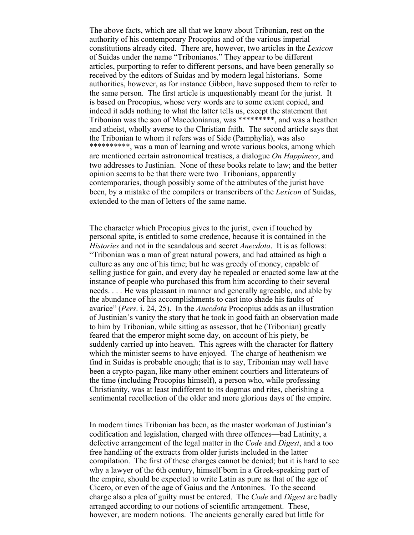The above facts, which are all that we know about Tribonian, rest on the authority of his contemporary Procopius and of the various imperial constitutions already cited. There are, however, two articles in the *Lexicon* of Suidas under the name "Tribonianos." They appear to be different articles, purporting to refer to different persons, and have been generally so received by the editors of Suidas and by modern legal historians. Some authorities, however, as for instance Gibbon, have supposed them to refer to the same person. The first article is unquestionably meant for the jurist. It is based on Procopius, whose very words are to some extent copied, and indeed it adds nothing to what the latter tells us, except the statement that Tribonian was the son of Macedonianus, was \*\*\*\*\*\*\*\*\*, and was a heathen and atheist, wholly averse to the Christian faith. The second article says that the Tribonian to whom it refers was of Side (Pamphylia), was also \*\*\*\*\*\*\*\*\*\*, was a man of learning and wrote various books, among which are mentioned certain astronomical treatises, a dialogue *On Happiness*, and two addresses to Justinian. None of these books relate to law; and the better opinion seems to be that there were two Tribonians, apparently contemporaries, though possibly some of the attributes of the jurist have been, by a mistake of the compilers or transcribers of the *Lexicon* of Suidas, extended to the man of letters of the same name.

The character which Procopius gives to the jurist, even if touched by personal spite, is entitled to some credence, because it is contained in the *Histories* and not in the scandalous and secret *Anecdota*. It is as follows: "Tribonian was a man of great natural powers, and had attained as high a culture as any one of his time; but he was greedy of money, capable of selling justice for gain, and every day he repealed or enacted some law at the instance of people who purchased this from him according to their several needs. . . . He was pleasant in manner and generally agreeable, and able by the abundance of his accomplishments to cast into shade his faults of avarice" (*Pers*. i. 24, 25). In the *Anecdota* Procopius adds as an illustration of Justinian's vanity the story that he took in good faith an observation made to him by Tribonian, while sitting as assessor, that he (Tribonian) greatly feared that the emperor might some day, on account of his piety, be suddenly carried up into heaven. This agrees with the character for flattery which the minister seems to have enjoyed. The charge of heathenism we find in Suidas is probable enough; that is to say, Tribonian may well have been a crypto-pagan, like many other eminent courtiers and litterateurs of the time (including Procopius himself), a person who, while professing Christianity, was at least indifferent to its dogmas and rites, cherishing a sentimental recollection of the older and more glorious days of the empire.

In modern times Tribonian has been, as the master workman of Justinian's codification and legislation, charged with three offences—bad Latinity, a defective arrangement of the legal matter in the *Code* and *Digest*, and a too free handling of the extracts from older jurists included in the latter compilation. The first of these charges cannot be denied; but it is hard to see why a lawyer of the 6th century, himself born in a Greek-speaking part of the empire, should be expected to write Latin as pure as that of the age of Cicero, or even of the age of Gaius and the Antonines. To the second charge also a plea of guilty must be entered. The *Code* and *Digest* are badly arranged according to our notions of scientific arrangement. These, however, are modern notions. The ancients generally cared but little for